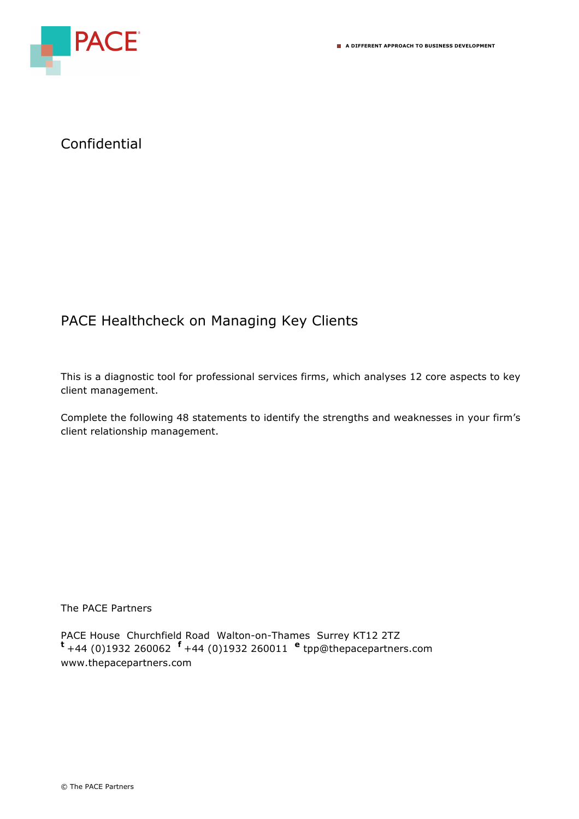

## Confidential

## PACE Healthcheck on Managing Key Clients

This is a diagnostic tool for professional services firms, which analyses 12 core aspects to key client management.

Complete the following 48 statements to identify the strengths and weaknesses in your firm's client relationship management.

## The PACE Partners

PACE House Churchfield Road Walton-on-Thames Surrey KT12 2TZ **<sup>t</sup>**+44 (0)1932 260062 **f** +44 (0)1932 260011 **<sup>e</sup>** tpp@thepacepartners.com www.thepacepartners.com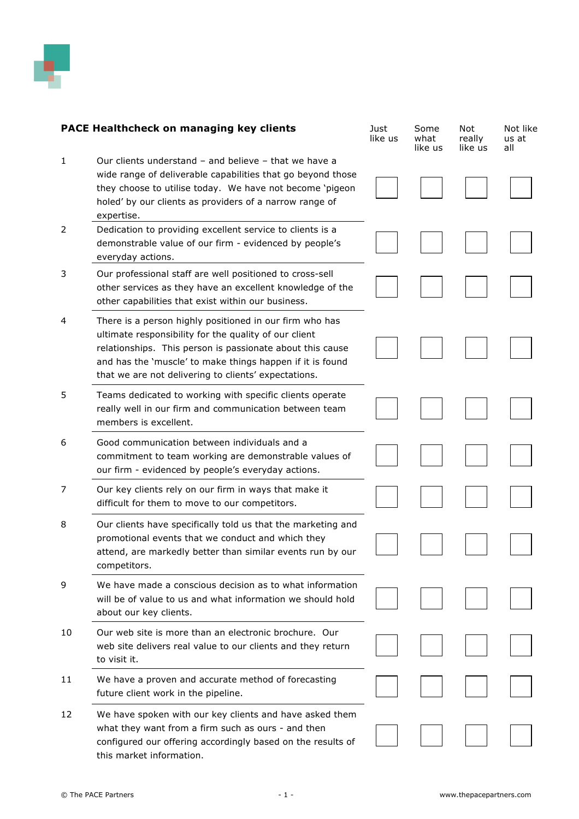

| <b>PACE Healthcheck on managing key clients</b> |                                                                                                                                                                                                                                                                                                    | Just<br>like us | Some<br>what<br>like us | Not<br>really<br>like us | Not like<br>us at<br>all |
|-------------------------------------------------|----------------------------------------------------------------------------------------------------------------------------------------------------------------------------------------------------------------------------------------------------------------------------------------------------|-----------------|-------------------------|--------------------------|--------------------------|
| 1                                               | Our clients understand - and believe - that we have a<br>wide range of deliverable capabilities that go beyond those<br>they choose to utilise today. We have not become 'pigeon<br>holed' by our clients as providers of a narrow range of<br>expertise.                                          |                 |                         |                          |                          |
| 2                                               | Dedication to providing excellent service to clients is a<br>demonstrable value of our firm - evidenced by people's<br>everyday actions.                                                                                                                                                           |                 |                         |                          |                          |
| 3                                               | Our professional staff are well positioned to cross-sell<br>other services as they have an excellent knowledge of the<br>other capabilities that exist within our business.                                                                                                                        |                 |                         |                          |                          |
| 4                                               | There is a person highly positioned in our firm who has<br>ultimate responsibility for the quality of our client<br>relationships. This person is passionate about this cause<br>and has the 'muscle' to make things happen if it is found<br>that we are not delivering to clients' expectations. |                 |                         |                          |                          |
| 5                                               | Teams dedicated to working with specific clients operate<br>really well in our firm and communication between team<br>members is excellent.                                                                                                                                                        |                 |                         |                          |                          |
| 6                                               | Good communication between individuals and a<br>commitment to team working are demonstrable values of<br>our firm - evidenced by people's everyday actions.                                                                                                                                        |                 |                         |                          |                          |
| 7                                               | Our key clients rely on our firm in ways that make it<br>difficult for them to move to our competitors.                                                                                                                                                                                            |                 |                         |                          |                          |
| 8                                               | Our clients have specifically told us that the marketing and<br>promotional events that we conduct and which they<br>attend, are markedly better than similar events run by our<br>competitors.                                                                                                    |                 |                         |                          |                          |
| 9                                               | We have made a conscious decision as to what information<br>will be of value to us and what information we should hold<br>about our key clients.                                                                                                                                                   |                 |                         |                          |                          |
| 10                                              | Our web site is more than an electronic brochure. Our<br>web site delivers real value to our clients and they return<br>to visit it.                                                                                                                                                               |                 |                         |                          |                          |
| 11                                              | We have a proven and accurate method of forecasting<br>future client work in the pipeline.                                                                                                                                                                                                         |                 |                         |                          |                          |
| 12                                              | We have spoken with our key clients and have asked them<br>what they want from a firm such as ours - and then<br>configured our offering accordingly based on the results of                                                                                                                       |                 |                         |                          |                          |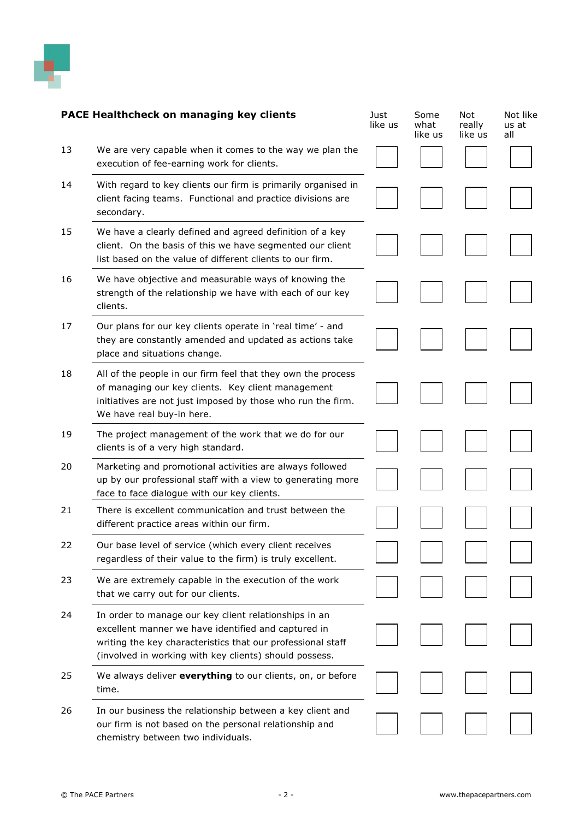

| <b>PACE Healthcheck on managing key clients</b> |                                                                                                                                                                                                                                       | Just<br>like us | Some<br>what<br>like us | <b>Not</b><br>really<br>like us | Not like<br>us at<br>all |
|-------------------------------------------------|---------------------------------------------------------------------------------------------------------------------------------------------------------------------------------------------------------------------------------------|-----------------|-------------------------|---------------------------------|--------------------------|
| 13                                              | We are very capable when it comes to the way we plan the<br>execution of fee-earning work for clients.                                                                                                                                |                 |                         |                                 |                          |
| 14                                              | With regard to key clients our firm is primarily organised in<br>client facing teams. Functional and practice divisions are<br>secondary.                                                                                             |                 |                         |                                 |                          |
| 15                                              | We have a clearly defined and agreed definition of a key<br>client. On the basis of this we have segmented our client<br>list based on the value of different clients to our firm.                                                    |                 |                         |                                 |                          |
| 16                                              | We have objective and measurable ways of knowing the<br>strength of the relationship we have with each of our key<br>clients.                                                                                                         |                 |                         |                                 |                          |
| 17                                              | Our plans for our key clients operate in 'real time' - and<br>they are constantly amended and updated as actions take<br>place and situations change.                                                                                 |                 |                         |                                 |                          |
| 18                                              | All of the people in our firm feel that they own the process<br>of managing our key clients. Key client management<br>initiatives are not just imposed by those who run the firm.<br>We have real buy-in here.                        |                 |                         |                                 |                          |
| 19                                              | The project management of the work that we do for our<br>clients is of a very high standard.                                                                                                                                          |                 |                         |                                 |                          |
| 20                                              | Marketing and promotional activities are always followed<br>up by our professional staff with a view to generating more<br>face to face dialogue with our key clients.                                                                |                 |                         |                                 |                          |
| 21                                              | There is excellent communication and trust between the<br>different practice areas within our firm.                                                                                                                                   |                 |                         |                                 |                          |
| 22                                              | Our base level of service (which every client receives<br>regardless of their value to the firm) is truly excellent.                                                                                                                  |                 |                         |                                 |                          |
| 23                                              | We are extremely capable in the execution of the work<br>that we carry out for our clients.                                                                                                                                           |                 |                         |                                 |                          |
| 24                                              | In order to manage our key client relationships in an<br>excellent manner we have identified and captured in<br>writing the key characteristics that our professional staff<br>(involved in working with key clients) should possess. |                 |                         |                                 |                          |
| 25                                              | We always deliver everything to our clients, on, or before<br>time.                                                                                                                                                                   |                 |                         |                                 |                          |
| 26                                              | In our business the relationship between a key client and<br>our firm is not based on the personal relationship and<br>chemistry between two individuals.                                                                             |                 |                         |                                 |                          |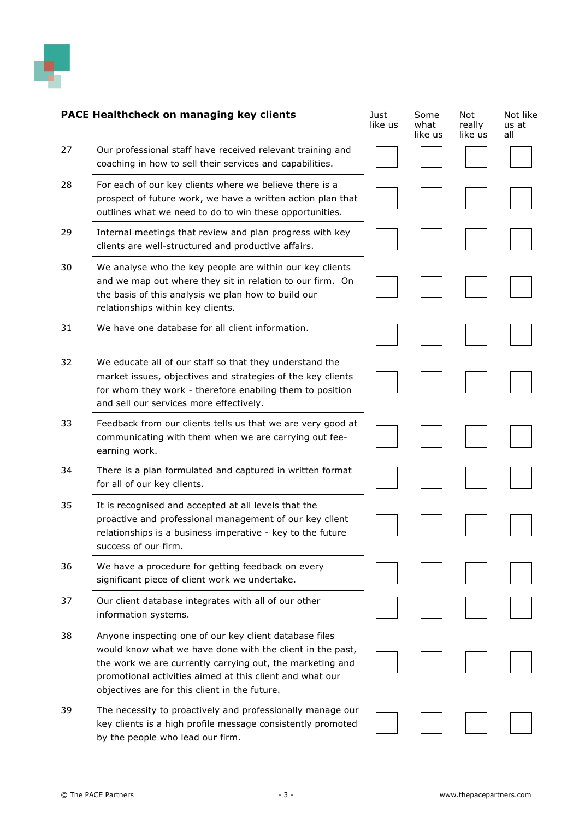

| <b>PACE Healthcheck on managing key clients</b> |                                                                                                                                                                                                                                                                                               | Just<br>like us | Some<br>what<br>like us | <b>Not</b><br>really<br>like us | Not like<br>us at<br>all |
|-------------------------------------------------|-----------------------------------------------------------------------------------------------------------------------------------------------------------------------------------------------------------------------------------------------------------------------------------------------|-----------------|-------------------------|---------------------------------|--------------------------|
| 27                                              | Our professional staff have received relevant training and<br>coaching in how to sell their services and capabilities.                                                                                                                                                                        |                 |                         |                                 |                          |
| 28                                              | For each of our key clients where we believe there is a<br>prospect of future work, we have a written action plan that<br>outlines what we need to do to win these opportunities.                                                                                                             |                 |                         |                                 |                          |
| 29                                              | Internal meetings that review and plan progress with key<br>clients are well-structured and productive affairs.                                                                                                                                                                               |                 |                         |                                 |                          |
| 30                                              | We analyse who the key people are within our key clients<br>and we map out where they sit in relation to our firm. On<br>the basis of this analysis we plan how to build our<br>relationships within key clients.                                                                             |                 |                         |                                 |                          |
| 31                                              | We have one database for all client information.                                                                                                                                                                                                                                              |                 |                         |                                 |                          |
| 32                                              | We educate all of our staff so that they understand the<br>market issues, objectives and strategies of the key clients<br>for whom they work - therefore enabling them to position<br>and sell our services more effectively.                                                                 |                 |                         |                                 |                          |
| 33                                              | Feedback from our clients tells us that we are very good at<br>communicating with them when we are carrying out fee-<br>earning work.                                                                                                                                                         |                 |                         |                                 |                          |
| 34                                              | There is a plan formulated and captured in written format<br>for all of our key clients.                                                                                                                                                                                                      |                 |                         |                                 |                          |
| 35                                              | It is recognised and accepted at all levels that the<br>proactive and professional management of our key client<br>relationships is a business imperative - key to the future<br>success of our firm.                                                                                         |                 |                         |                                 |                          |
| 36                                              | We have a procedure for getting feedback on every<br>significant piece of client work we undertake.                                                                                                                                                                                           |                 |                         |                                 |                          |
| 37                                              | Our client database integrates with all of our other<br>information systems.                                                                                                                                                                                                                  |                 |                         |                                 |                          |
| 38                                              | Anyone inspecting one of our key client database files<br>would know what we have done with the client in the past,<br>the work we are currently carrying out, the marketing and<br>promotional activities aimed at this client and what our<br>objectives are for this client in the future. |                 |                         |                                 |                          |
| 39                                              | The necessity to proactively and professionally manage our<br>key clients is a high profile message consistently promoted<br>by the people who lead our firm.                                                                                                                                 |                 |                         |                                 |                          |